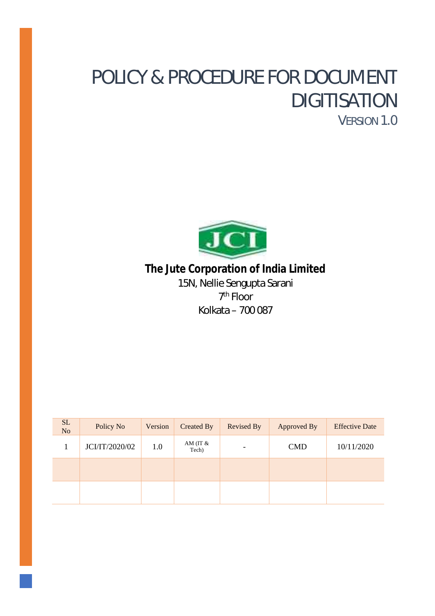# POLICY & PROCEDURE FOR DOCUMENT DIGITISATION VERSION 1.0



**The Jute Corporation of India Limited** 15N, Nellie Sengupta Sarani 7 th Floor Kolkata – 700 087

| SL<br>N <sub>o</sub> | Policy No      | Version | Created By           | <b>Revised By</b> | Approved By | <b>Effective Date</b> |
|----------------------|----------------|---------|----------------------|-------------------|-------------|-----------------------|
|                      | JCI/IT/2020/02 | 1.0     | AM (IT $\&$<br>Tech) |                   | <b>CMD</b>  | 10/11/2020            |
|                      |                |         |                      |                   |             |                       |
|                      |                |         |                      |                   |             |                       |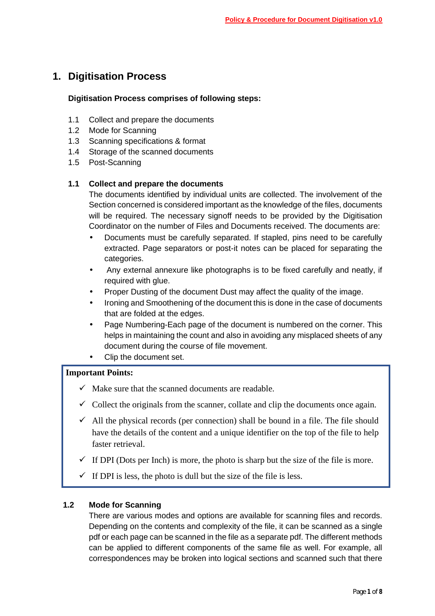# **1. Digitisation Process**

# **Digitisation Process comprises of following steps:**

- 1.1 Collect and prepare the documents
- 1.2 Mode for Scanning
- 1.3 Scanning specifications & format
- 1.4 Storage of the scanned documents
- 1.5 Post-Scanning

# **1.1 Collect and prepare the documents**

The documents identified by individual units are collected. The involvement of the Section concerned is considered important as the knowledge of the files, documents will be required. The necessary signoff needs to be provided by the Digitisation Coordinator on the number of Files and Documents received. The documents are:

- Documents must be carefully separated. If stapled, pins need to be carefully extracted. Page separators or post-it notes can be placed for separating the categories.
- Any external annexure like photographs is to be fixed carefully and neatly, if required with glue.
- Proper Dusting of the document Dust may affect the quality of the image.
- Ironing and Smoothening of the document this is done in the case of documents that are folded at the edges.
- Page Numbering-Each page of the document is numbered on the corner. This helps in maintaining the count and also in avoiding any misplaced sheets of any document during the course of file movement.
- Clip the document set.

# **Important Points:**

- $\checkmark$  Make sure that the scanned documents are readable.
- $\checkmark$  Collect the originals from the scanner, collate and clip the documents once again.
- $\checkmark$  All the physical records (per connection) shall be bound in a file. The file should have the details of the content and a unique identifier on the top of the file to help faster retrieval.
- $\checkmark$  If DPI (Dots per Inch) is more, the photo is sharp but the size of the file is more.
- $\checkmark$  If DPI is less, the photo is dull but the size of the file is less.

# **1.2 Mode for Scanning**

There are various modes and options are available for scanning files and records. Depending on the contents and complexity of the file, it can be scanned as a single pdf or each page can be scanned in the file as a separate pdf. The different methods can be applied to different components of the same file as well. For example, all correspondences may be broken into logical sections and scanned such that there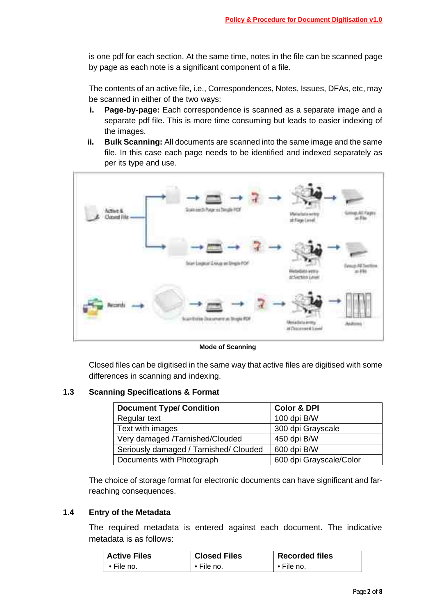is one pdf for each section. At the same time, notes in the file can be scanned page by page as each note is a significant component of a file.

The contents of an active file, i.e., Correspondences, Notes, Issues, DFAs, etc, may be scanned in either of the two ways:

- **i. Page-by-page:** Each correspondence is scanned as a separate image and a separate pdf file. This is more time consuming but leads to easier indexing of the images.
- **ii. Bulk Scanning:** All documents are scanned into the same image and the same file. In this case each page needs to be identified and indexed separately as per its type and use.



**Mode of Scanning**

Closed files can be digitised in the same way that active files are digitised with some differences in scanning and indexing.

#### **1.3 Scanning Specifications & Format**

| <b>Document Type/ Condition</b>        | <b>Color &amp; DPI</b>  |  |
|----------------------------------------|-------------------------|--|
| Regular text                           | 100 dpi B/W             |  |
| Text with images                       | 300 dpi Grayscale       |  |
| Very damaged /Tarnished/Clouded        | 450 dpi B/W             |  |
| Seriously damaged / Tarnished/ Clouded | 600 dpi B/W             |  |
| Documents with Photograph              | 600 dpi Grayscale/Color |  |

The choice of storage format for electronic documents can have significant and farreaching consequences.

#### **1.4 Entry of the Metadata**

The required metadata is entered against each document. The indicative metadata is as follows:

| <b>Active Files</b> | <b>Closed Files</b> | <b>Recorded files</b> |
|---------------------|---------------------|-----------------------|
| $\bullet$ File no.  | ∙ File no.          | • File no.            |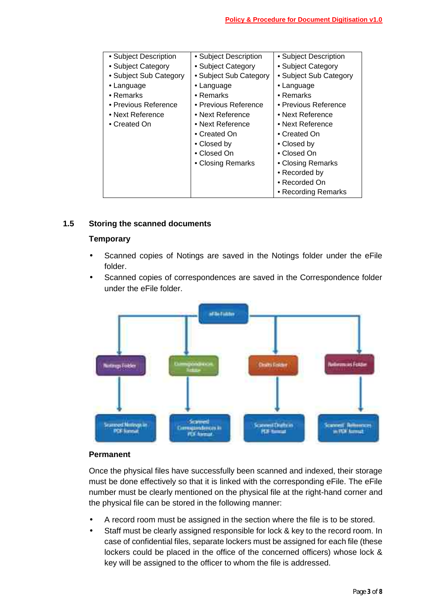| • Subject Description  | • Subject Description  | • Subject Description  |
|------------------------|------------------------|------------------------|
| • Subject Category     | • Subject Category     | • Subject Category     |
| • Subject Sub Category | • Subject Sub Category | • Subject Sub Category |
| • Language             | • Language             | • Language             |
| $\bullet$ Remarks      | $\bullet$ Remarks      | $\bullet$ Remarks      |
| • Previous Reference   | • Previous Reference   | • Previous Reference   |
| • Next Reference       | • Next Reference       | • Next Reference       |
| • Created On           | • Next Reference       | • Next Reference       |
|                        | • Created On           | • Created On           |
|                        | • Closed by            | • Closed by            |
|                        | • Closed On            | • Closed On            |
|                        | • Closing Remarks      | • Closing Remarks      |
|                        |                        | • Recorded by          |
|                        |                        | • Recorded On          |
|                        |                        | • Recording Remarks    |

# **1.5 Storing the scanned documents**

#### **Temporary**

- Scanned copies of Notings are saved in the Notings folder under the eFile folder.
- Scanned copies of correspondences are saved in the Correspondence folder under the eFile folder.



### **Permanent**

Once the physical files have successfully been scanned and indexed, their storage must be done effectively so that it is linked with the corresponding eFile. The eFile number must be clearly mentioned on the physical file at the right-hand corner and the physical file can be stored in the following manner:

- A record room must be assigned in the section where the file is to be stored.
- Staff must be clearly assigned responsible for lock & key to the record room. In case of confidential files, separate lockers must be assigned for each file (these lockers could be placed in the office of the concerned officers) whose lock & key will be assigned to the officer to whom the file is addressed.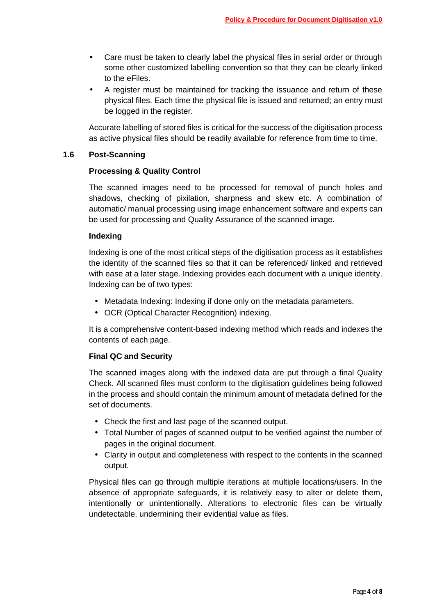- Care must be taken to clearly label the physical files in serial order or through some other customized labelling convention so that they can be clearly linked to the eFiles.
- A register must be maintained for tracking the issuance and return of these physical files. Each time the physical file is issued and returned; an entry must be logged in the register.

Accurate labelling of stored files is critical for the success of the digitisation process as active physical files should be readily available for reference from time to time.

#### **1.6 Post-Scanning**

#### **Processing & Quality Control**

The scanned images need to be processed for removal of punch holes and shadows, checking of pixilation, sharpness and skew etc. A combination of automatic/ manual processing using image enhancement software and experts can be used for processing and Quality Assurance of the scanned image.

#### **Indexing**

Indexing is one of the most critical steps of the digitisation process as it establishes the identity of the scanned files so that it can be referenced/ linked and retrieved with ease at a later stage. Indexing provides each document with a unique identity. Indexing can be of two types:

- Metadata Indexing: Indexing if done only on the metadata parameters.
- OCR (Optical Character Recognition) indexing.

It is a comprehensive content-based indexing method which reads and indexes the contents of each page.

#### **Final QC and Security**

The scanned images along with the indexed data are put through a final Quality Check. All scanned files must conform to the digitisation guidelines being followed in the process and should contain the minimum amount of metadata defined for the set of documents.

- Check the first and last page of the scanned output.
- Total Number of pages of scanned output to be verified against the number of pages in the original document.
- Clarity in output and completeness with respect to the contents in the scanned output.

Physical files can go through multiple iterations at multiple locations/users. In the absence of appropriate safeguards, it is relatively easy to alter or delete them, intentionally or unintentionally. Alterations to electronic files can be virtually undetectable, undermining their evidential value as files.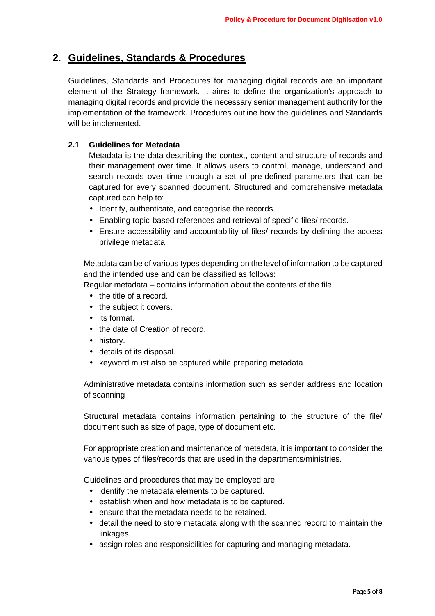# **2. Guidelines, Standards & Procedures**

Guidelines, Standards and Procedures for managing digital records are an important element of the Strategy framework. It aims to define the organization's approach to managing digital records and provide the necessary senior management authority for the implementation of the framework. Procedures outline how the guidelines and Standards will be implemented.

### **2.1 Guidelines for Metadata**

Metadata is the data describing the context, content and structure of records and their management over time. It allows users to control, manage, understand and search records over time through a set of pre-defined parameters that can be captured for every scanned document. Structured and comprehensive metadata captured can help to:

- Identify, authenticate, and categorise the records.
- Enabling topic-based references and retrieval of specific files/ records.
- Ensure accessibility and accountability of files/ records by defining the access privilege metadata.

Metadata can be of various types depending on the level of information to be captured and the intended use and can be classified as follows:

Regular metadata – contains information about the contents of the file

- the title of a record.
- the subject it covers.
- its format.
- the date of Creation of record.
- history.
- details of its disposal.
- keyword must also be captured while preparing metadata.

Administrative metadata contains information such as sender address and location of scanning

Structural metadata contains information pertaining to the structure of the file/ document such as size of page, type of document etc.

For appropriate creation and maintenance of metadata, it is important to consider the various types of files/records that are used in the departments/ministries.

Guidelines and procedures that may be employed are:

- identify the metadata elements to be captured.
- establish when and how metadata is to be captured.
- ensure that the metadata needs to be retained.
- detail the need to store metadata along with the scanned record to maintain the linkages.
- assign roles and responsibilities for capturing and managing metadata.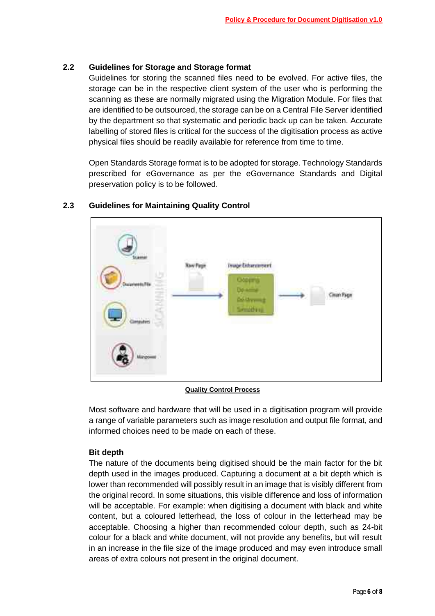### **2.2 Guidelines for Storage and Storage format**

Guidelines for storing the scanned files need to be evolved. For active files, the storage can be in the respective client system of the user who is performing the scanning as these are normally migrated using the Migration Module. For files that are identified to be outsourced, the storage can be on a Central File Server identified by the department so that systematic and periodic back up can be taken. Accurate labelling of stored files is critical for the success of the digitisation process as active physical files should be readily available for reference from time to time.

Open Standards Storage format is to be adopted for storage. Technology Standards prescribed for eGovernance as per the eGovernance Standards and Digital preservation policy is to be followed.



# **2.3 Guidelines for Maintaining Quality Control**

**Quality Control Process**

Most software and hardware that will be used in a digitisation program will provide a range of variable parameters such as image resolution and output file format, and informed choices need to be made on each of these.

#### **Bit depth**

The nature of the documents being digitised should be the main factor for the bit depth used in the images produced. Capturing a document at a bit depth which is lower than recommended will possibly result in an image that is visibly different from the original record. In some situations, this visible difference and loss of information will be acceptable. For example: when digitising a document with black and white content, but a coloured letterhead, the loss of colour in the letterhead may be acceptable. Choosing a higher than recommended colour depth, such as 24-bit colour for a black and white document, will not provide any benefits, but will result in an increase in the file size of the image produced and may even introduce small areas of extra colours not present in the original document.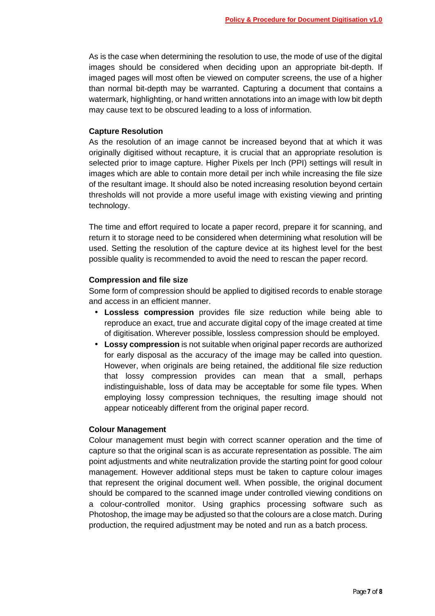As is the case when determining the resolution to use, the mode of use of the digital images should be considered when deciding upon an appropriate bit-depth. If imaged pages will most often be viewed on computer screens, the use of a higher than normal bit-depth may be warranted. Capturing a document that contains a watermark, highlighting, or hand written annotations into an image with low bit depth may cause text to be obscured leading to a loss of information.

#### **Capture Resolution**

As the resolution of an image cannot be increased beyond that at which it was originally digitised without recapture, it is crucial that an appropriate resolution is selected prior to image capture. Higher Pixels per Inch (PPI) settings will result in images which are able to contain more detail per inch while increasing the file size of the resultant image. It should also be noted increasing resolution beyond certain thresholds will not provide a more useful image with existing viewing and printing technology.

The time and effort required to locate a paper record, prepare it for scanning, and return it to storage need to be considered when determining what resolution will be used. Setting the resolution of the capture device at its highest level for the best possible quality is recommended to avoid the need to rescan the paper record.

#### **Compression and file size**

Some form of compression should be applied to digitised records to enable storage and access in an efficient manner.

- **Lossless compression** provides file size reduction while being able to reproduce an exact, true and accurate digital copy of the image created at time of digitisation. Wherever possible, lossless compression should be employed.
- **Lossy compression** is not suitable when original paper records are authorized for early disposal as the accuracy of the image may be called into question. However, when originals are being retained, the additional file size reduction that lossy compression provides can mean that a small, perhaps indistinguishable, loss of data may be acceptable for some file types. When employing lossy compression techniques, the resulting image should not appear noticeably different from the original paper record.

#### **Colour Management**

Colour management must begin with correct scanner operation and the time of capture so that the original scan is as accurate representation as possible. The aim point adjustments and white neutralization provide the starting point for good colour management. However additional steps must be taken to capture colour images that represent the original document well. When possible, the original document should be compared to the scanned image under controlled viewing conditions on a colour-controlled monitor. Using graphics processing software such as Photoshop, the image may be adjusted so that the colours are a close match. During production, the required adjustment may be noted and run as a batch process.